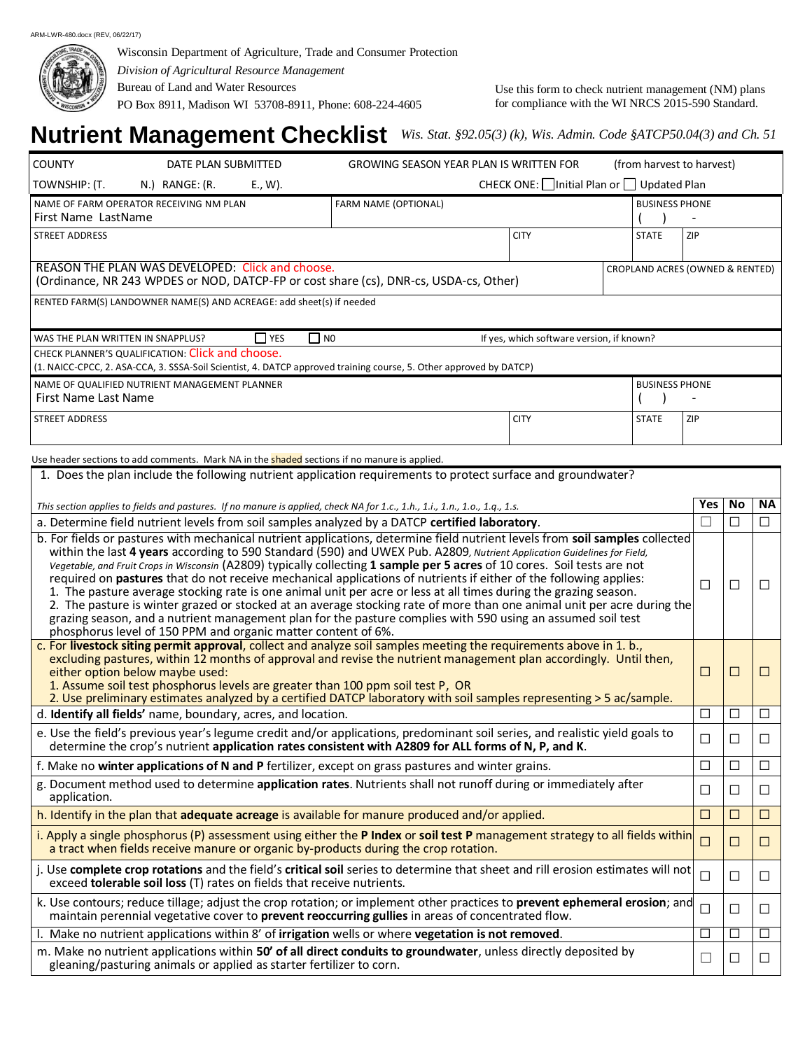

Wisconsin Department of Agriculture, Trade and Consumer Protection *Division of Agricultural Resource Management* Bureau of Land and Water Resources PO Box 8911, Madison WI 53708-8911, Phone: 608-224-4605

Use this form to check nutrient management (NM) plans for compliance with the WI NRCS 2015-590 Standard.

## **Nutrient Management Checklist** *Wis. Stat. §92.05(3) (k), Wis. Admin. Code §ATCP50.04(3) and Ch. 51*

| <b>COUNTY</b><br>DATE PLAN SUBMITTED<br><b>GROWING SEASON YEAR PLAN IS WRITTEN FOR</b><br>(from harvest to harvest)                                                                                                                                                                                                                                                                                                                                                                                                                                                                                                                                                                                                                                                                                                                                                                                                                      |        |        |                          |
|------------------------------------------------------------------------------------------------------------------------------------------------------------------------------------------------------------------------------------------------------------------------------------------------------------------------------------------------------------------------------------------------------------------------------------------------------------------------------------------------------------------------------------------------------------------------------------------------------------------------------------------------------------------------------------------------------------------------------------------------------------------------------------------------------------------------------------------------------------------------------------------------------------------------------------------|--------|--------|--------------------------|
| CHECK ONE: Initial Plan or □ Updated Plan<br>TOWNSHIP: (T.<br>N.) RANGE: (R.<br>E., W).                                                                                                                                                                                                                                                                                                                                                                                                                                                                                                                                                                                                                                                                                                                                                                                                                                                  |        |        |                          |
| NAME OF FARM OPERATOR RECEIVING NM PLAN<br>FARM NAME (OPTIONAL)<br><b>BUSINESS PHONE</b><br>First Name LastName                                                                                                                                                                                                                                                                                                                                                                                                                                                                                                                                                                                                                                                                                                                                                                                                                          |        |        |                          |
| <b>CITY</b><br><b>STREET ADDRESS</b><br><b>STATE</b><br>ZIP                                                                                                                                                                                                                                                                                                                                                                                                                                                                                                                                                                                                                                                                                                                                                                                                                                                                              |        |        |                          |
| REASON THE PLAN WAS DEVELOPED: Click and choose.<br>CROPLAND ACRES (OWNED & RENTED)<br>(Ordinance, NR 243 WPDES or NOD, DATCP-FP or cost share (cs), DNR-cs, USDA-cs, Other)                                                                                                                                                                                                                                                                                                                                                                                                                                                                                                                                                                                                                                                                                                                                                             |        |        |                          |
| RENTED FARM(S) LANDOWNER NAME(S) AND ACREAGE: add sheet(s) if needed                                                                                                                                                                                                                                                                                                                                                                                                                                                                                                                                                                                                                                                                                                                                                                                                                                                                     |        |        |                          |
| $\Box$ NO<br>WAS THE PLAN WRITTEN IN SNAPPLUS?<br><b>YES</b><br>If yes, which software version, if known?                                                                                                                                                                                                                                                                                                                                                                                                                                                                                                                                                                                                                                                                                                                                                                                                                                |        |        |                          |
| CHECK PLANNER'S QUALIFICATION: Click and choose.<br>(1. NAICC-CPCC, 2. ASA-CCA, 3. SSSA-Soil Scientist, 4. DATCP approved training course, 5. Other approved by DATCP)                                                                                                                                                                                                                                                                                                                                                                                                                                                                                                                                                                                                                                                                                                                                                                   |        |        |                          |
| NAME OF QUALIFIED NUTRIENT MANAGEMENT PLANNER<br><b>BUSINESS PHONE</b>                                                                                                                                                                                                                                                                                                                                                                                                                                                                                                                                                                                                                                                                                                                                                                                                                                                                   |        |        |                          |
| First Name Last Name                                                                                                                                                                                                                                                                                                                                                                                                                                                                                                                                                                                                                                                                                                                                                                                                                                                                                                                     |        |        |                          |
| <b>STREET ADDRESS</b><br><b>CITY</b><br>ZIP<br><b>STATE</b>                                                                                                                                                                                                                                                                                                                                                                                                                                                                                                                                                                                                                                                                                                                                                                                                                                                                              |        |        |                          |
| Use header sections to add comments. Mark NA in the <b>shaded</b> sections if no manure is applied.                                                                                                                                                                                                                                                                                                                                                                                                                                                                                                                                                                                                                                                                                                                                                                                                                                      |        |        |                          |
| 1. Does the plan include the following nutrient application requirements to protect surface and groundwater?                                                                                                                                                                                                                                                                                                                                                                                                                                                                                                                                                                                                                                                                                                                                                                                                                             |        |        |                          |
| This section applies to fields and pastures. If no manure is applied, check NA for 1.c., 1.h., 1.i., 1.n., 1.o., 1.q., 1.s.                                                                                                                                                                                                                                                                                                                                                                                                                                                                                                                                                                                                                                                                                                                                                                                                              | Yes    | No     | <b>NA</b>                |
| a. Determine field nutrient levels from soil samples analyzed by a DATCP certified laboratory.                                                                                                                                                                                                                                                                                                                                                                                                                                                                                                                                                                                                                                                                                                                                                                                                                                           |        | □      | $\Box$                   |
| b. For fields or pastures with mechanical nutrient applications, determine field nutrient levels from soil samples collected<br>within the last 4 years according to 590 Standard (590) and UWEX Pub. A2809, Nutrient Application Guidelines for Field,<br>Vegetable, and Fruit Crops in Wisconsin (A2809) typically collecting 1 sample per 5 acres of 10 cores. Soil tests are not<br>required on pastures that do not receive mechanical applications of nutrients if either of the following applies:<br>1. The pasture average stocking rate is one animal unit per acre or less at all times during the grazing season.<br>2. The pasture is winter grazed or stocked at an average stocking rate of more than one animal unit per acre during the<br>grazing season, and a nutrient management plan for the pasture complies with 590 using an assumed soil test<br>phosphorus level of 150 PPM and organic matter content of 6%. | П      | □      | □                        |
| c. For livestock siting permit approval, collect and analyze soil samples meeting the requirements above in 1. b.,<br>excluding pastures, within 12 months of approval and revise the nutrient management plan accordingly. Until then,<br>either option below maybe used:<br>1. Assume soil test phosphorus levels are greater than 100 ppm soil test P, OR<br>2. Use preliminary estimates analyzed by a certified DATCP laboratory with soil samples representing > 5 ac/sample.                                                                                                                                                                                                                                                                                                                                                                                                                                                      | $\Box$ | $\Box$ | $\overline{\phantom{a}}$ |
| d. Identify all fields' name, boundary, acres, and location.                                                                                                                                                                                                                                                                                                                                                                                                                                                                                                                                                                                                                                                                                                                                                                                                                                                                             | □      | □      | □                        |
| e. Use the field's previous year's legume credit and/or applications, predominant soil series, and realistic yield goals to<br>determine the crop's nutrient application rates consistent with A2809 for ALL forms of N, P, and K.                                                                                                                                                                                                                                                                                                                                                                                                                                                                                                                                                                                                                                                                                                       | □      | □      | □                        |
| f. Make no winter applications of N and P fertilizer, except on grass pastures and winter grains.                                                                                                                                                                                                                                                                                                                                                                                                                                                                                                                                                                                                                                                                                                                                                                                                                                        | ப      | ⊔      | Ш                        |
| g. Document method used to determine application rates. Nutrients shall not runoff during or immediately after<br>application.                                                                                                                                                                                                                                                                                                                                                                                                                                                                                                                                                                                                                                                                                                                                                                                                           | □      | $\Box$ | $\Box$                   |
| h. Identify in the plan that adequate acreage is available for manure produced and/or applied.                                                                                                                                                                                                                                                                                                                                                                                                                                                                                                                                                                                                                                                                                                                                                                                                                                           | □      | □      | □                        |
| i. Apply a single phosphorus (P) assessment using either the P Index or soil test P management strategy to all fields within<br>a tract when fields receive manure or organic by-products during the crop rotation.                                                                                                                                                                                                                                                                                                                                                                                                                                                                                                                                                                                                                                                                                                                      | $\Box$ | $\Box$ | $\Box$                   |
| j. Use complete crop rotations and the field's critical soil series to determine that sheet and rill erosion estimates will not<br>exceed tolerable soil loss (T) rates on fields that receive nutrients.                                                                                                                                                                                                                                                                                                                                                                                                                                                                                                                                                                                                                                                                                                                                |        |        |                          |
|                                                                                                                                                                                                                                                                                                                                                                                                                                                                                                                                                                                                                                                                                                                                                                                                                                                                                                                                          | $\Box$ | □      | ⊔                        |
| k. Use contours; reduce tillage; adjust the crop rotation; or implement other practices to prevent ephemeral erosion; and<br>maintain perennial vegetative cover to prevent reoccurring gullies in areas of concentrated flow.                                                                                                                                                                                                                                                                                                                                                                                                                                                                                                                                                                                                                                                                                                           | □      | □      | $\Box$                   |
| I. Make no nutrient applications within 8' of irrigation wells or where vegetation is not removed.                                                                                                                                                                                                                                                                                                                                                                                                                                                                                                                                                                                                                                                                                                                                                                                                                                       | L      | ⊔      | $\Box$                   |